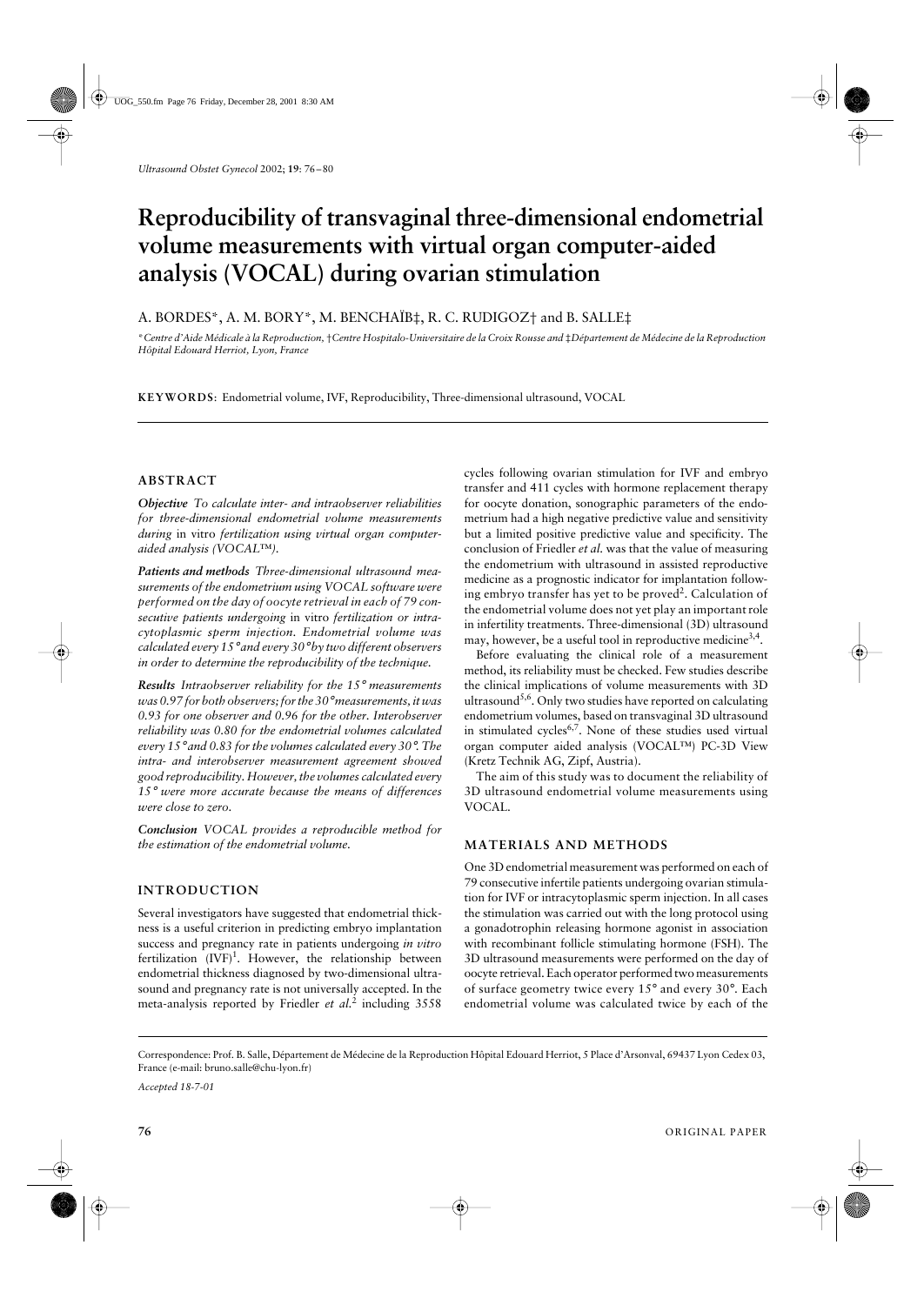# Reproducibility of transvaginal three-dimensional endometrial **volume measurements with virtual organ computer-aided analysis (VOCAL) during ovarian stimulation**

# A. BORDES\*, A. M. BORY\*, M. BENCHAÏB‡, R. C. RUDIGOZ† and B. SALLE‡

\**Centre d'Aide Médicale à la Reproduction,* †*Centre Hospitalo-Universitaire de la Croix Rousse and* ‡*Département de Médecine de la Reproduction Hôpital Edouard Herriot, Lyon, France*

**KEYWORDS**: Endometrial volume, IVF, Reproducibility, Three-dimensional ultrasound, VOCAL

### **ABSTRACT**

*Objective To calculate inter- and intraobserver reliabilities for three-dimensional endometrial volume measurements during* in vitro *fertilization using virtual organ computeraided analysis (VOCAL*™*).*

*Patients and methods Three-dimensional ultrasound measurements of the endometrium using VOCAL software were performed on the day of oocyte retrieval in each of 79 consecutive patients undergoing* in vitro *fertilization or intracytoplasmic sperm injection. Endometrial volume was calculated every 15*° *and every 30*° *by two different observers in order to determine the reproducibility of the technique.*

*Results Intraobserver reliability for the 15*° *measurements was 0.97 for both observers; for the 30*° *measurements, it was 0.93 for one observer and 0.96 for the other. Interobserver reliability was 0.80 for the endometrial volumes calculated every 15*° *and 0.83 for the volumes calculated every 30*°*. The intra- and interobserver measurement agreement showed good reproducibility. However, the volumes calculated every 15*° *were more accurate because the means of differences were close to zero.*

*Conclusion VOCAL provides a reproducible method for the estimation of the endometrial volume.*

# **INTRODUCTION**

Several investigators have suggested that endometrial thickness is a useful criterion in predicting embryo implantation success and pregnancy rate in patients undergoing *in vitro* fertilization  $(IVF)^1$ . However, the relationship between endometrial thickness diagnosed by two-dimensional ultrasound and pregnancy rate is not universally accepted. In the meta-analysis reported by Friedler *et al.*<sup>2</sup> including 3558

cycles following ovarian stimulation for IVF and embryo transfer and 411 cycles with hormone replacement therapy for oocyte donation, sonographic parameters of the endometrium had a high negative predictive value and sensitivity but a limited positive predictive value and specificity. The conclusion of Friedler *et al.* was that the value of measuring the endometrium with ultrasound in assisted reproductive medicine as a prognostic indicator for implantation following embryo transfer has yet to be proved<sup>2</sup>. Calculation of the endometrial volume does not yet play an important role in infertility treatments. Three-dimensional (3D) ultrasound may, however, be a useful tool in reproductive medicine<sup>3,4</sup>.

Before evaluating the clinical role of a measurement method, its reliability must be checked. Few studies describe the clinical implications of volume measurements with 3D ultrasound<sup>5,6</sup>. Only two studies have reported on calculating endometrium volumes, based on transvaginal 3D ultrasound in stimulated cycles<sup>6,7</sup>. None of these studies used virtual organ computer aided analysis (VOCAL™) PC-3D View (Kretz Technik AG, Zipf, Austria).

The aim of this study was to document the reliability of 3D ultrasound endometrial volume measurements using VOCAL.

#### **MATERIALS AND METHODS**

One 3D endometrial measurement was performed on each of 79 consecutive infertile patients undergoing ovarian stimulation for IVF or intracytoplasmic sperm injection. In all cases the stimulation was carried out with the long protocol using a gonadotrophin releasing hormone agonist in association with recombinant follicle stimulating hormone (FSH). The 3D ultrasound measurements were performed on the day of oocyte retrieval. Each operator performed two measurements of surface geometry twice every 15° and every 30°. Each endometrial volume was calculated twice by each of the

Correspondence: Prof. B. Salle, Département de Médecine de la Reproduction Hôpital Edouard Herriot, 5 Place d'Arsonval, 69437 Lyon Cedex 03, France (e-mail: bruno.salle@chu-lyon.fr)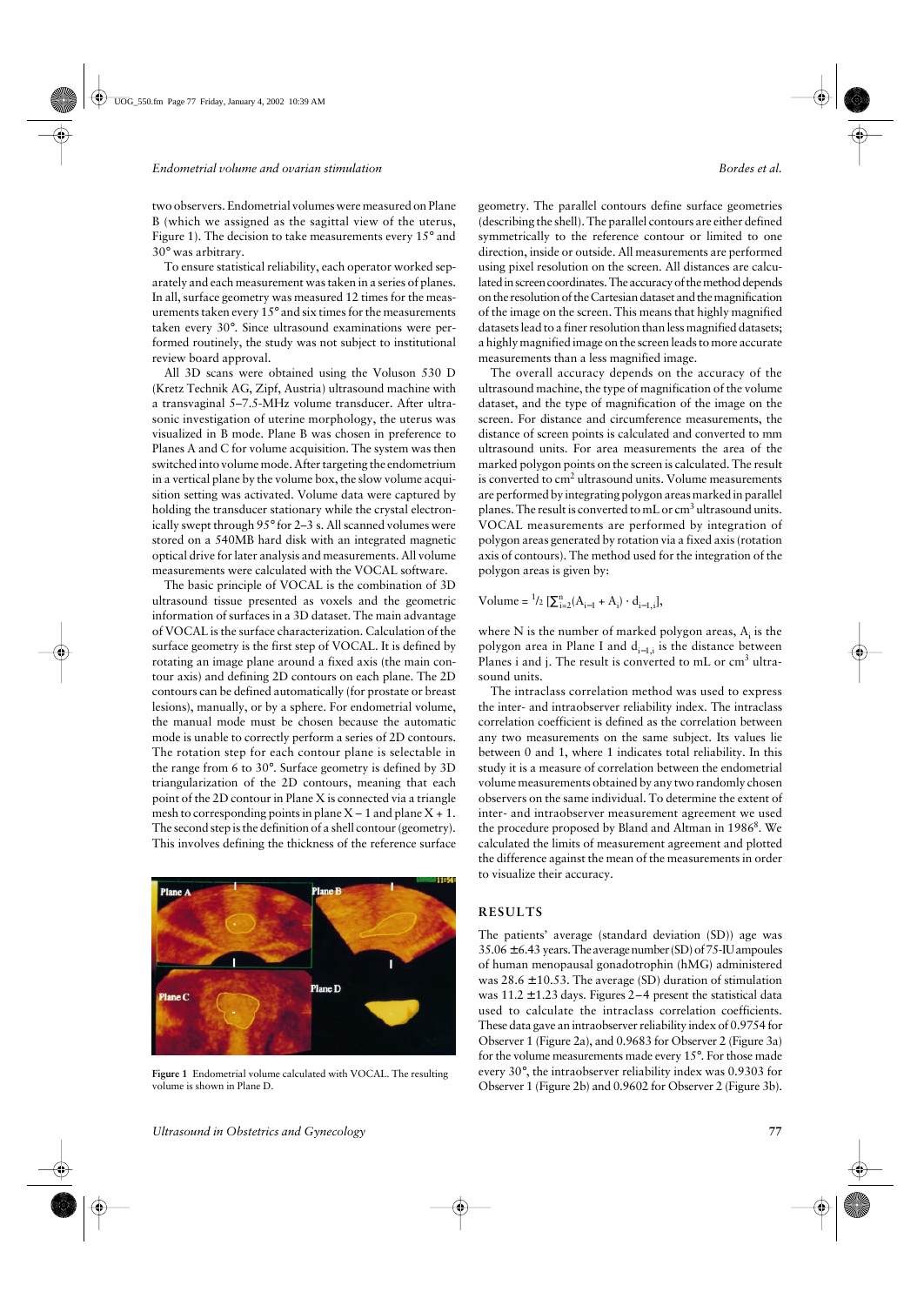two observers. Endometrial volumes were measured on Plane B (which we assigned as the sagittal view of the uterus, Figure 1). The decision to take measurements every 15° and 30° was arbitrary.

To ensure statistical reliability, each operator worked separately and each measurement was taken in a series of planes. In all, surface geometry was measured 12 times for the measurements taken every 15° and six times for the measurements taken every 30°. Since ultrasound examinations were performed routinely, the study was not subject to institutional review board approval.

All 3D scans were obtained using the Voluson 530 D (Kretz Technik AG, Zipf, Austria) ultrasound machine with a transvaginal 5–7.5-MHz volume transducer. After ultrasonic investigation of uterine morphology, the uterus was visualized in B mode. Plane B was chosen in preference to Planes A and C for volume acquisition. The system was then switched into volume mode. After targeting the endometrium in a vertical plane by the volume box, the slow volume acquisition setting was activated. Volume data were captured by holding the transducer stationary while the crystal electronically swept through 95° for 2–3 s. All scanned volumes were stored on a 540MB hard disk with an integrated magnetic optical drive for later analysis and measurements. All volume measurements were calculated with the VOCAL software.

The basic principle of VOCAL is the combination of 3D ultrasound tissue presented as voxels and the geometric information of surfaces in a 3D dataset. The main advantage of VOCAL is the surface characterization. Calculation of the surface geometry is the first step of VOCAL. It is defined by rotating an image plane around a fixed axis (the main contour axis) and defining 2D contours on each plane. The 2D contours can be defined automatically (for prostate or breast lesions), manually, or by a sphere. For endometrial volume, the manual mode must be chosen because the automatic mode is unable to correctly perform a series of 2D contours. The rotation step for each contour plane is selectable in the range from 6 to 30°. Surface geometry is defined by 3D triangularization of the 2D contours, meaning that each point of the 2D contour in Plane X is connected via a triangle mesh to corresponding points in plane  $X - 1$  and plane  $X + 1$ . The second step is the definition of a shell contour (geometry). This involves defining the thickness of the reference surface



**Figure 1** Endometrial volume calculated with VOCAL. The resulting volume is shown in Plane D.

geometry. The parallel contours define surface geometries (describing the shell). The parallel contours are either defined symmetrically to the reference contour or limited to one direction, inside or outside. All measurements are performed using pixel resolution on the screen. All distances are calculated in screen coordinates. The accuracy of the method depends on the resolution of the Cartesian dataset and the magnification of the image on the screen. This means that highly magnified datasets lead to a finer resolution than less magnified datasets; a highly magnified image on the screen leads to more accurate measurements than a less magnified image.

The overall accuracy depends on the accuracy of the ultrasound machine, the type of magnification of the volume dataset, and the type of magnification of the image on the screen. For distance and circumference measurements, the distance of screen points is calculated and converted to mm ultrasound units. For area measurements the area of the marked polygon points on the screen is calculated. The result is converted to cm<sup>2</sup> ultrasound units. Volume measurements are performed by integrating polygon areas marked in parallel planes. The result is converted to mL or cm<sup>3</sup> ultrasound units. VOCAL measurements are performed by integration of polygon areas generated by rotation via a fixed axis (rotation axis of contours). The method used for the integration of the polygon areas is given by:

Volume =  $^{1}/2$   $[\sum_{i=2}^{n} (A_{i-1} + A_i) \cdot d_{i-1,i}],$ 

where N is the number of marked polygon areas,  $A_i$  is the polygon area in Plane I and  $d_{i-1,i}$  is the distance between Planes i and j. The result is converted to mL or cm<sup>3</sup> ultrasound units.

The intraclass correlation method was used to express the inter- and intraobserver reliability index. The intraclass correlation coefficient is defined as the correlation between any two measurements on the same subject. Its values lie between 0 and 1, where 1 indicates total reliability. In this study it is a measure of correlation between the endometrial volume measurements obtained by any two randomly chosen observers on the same individual. To determine the extent of inter- and intraobserver measurement agreement we used the procedure proposed by Bland and Altman in 1986<sup>8</sup>. We calculated the limits of measurement agreement and plotted the difference against the mean of the measurements in order to visualize their accuracy.

#### **RESULTS**

The patients' average (standard deviation (SD)) age was  $35.06 \pm 6.43$  years. The average number (SD) of 75-IU ampoules of human menopausal gonadotrophin (hMG) administered was  $28.6 \pm 10.53$ . The average (SD) duration of stimulation was  $11.2 \pm 1.23$  days. Figures 2-4 present the statistical data used to calculate the intraclass correlation coefficients. These data gave an intraobserver reliability index of 0.9754 for Observer 1 (Figure 2a), and 0.9683 for Observer 2 (Figure 3a) for the volume measurements made every 15°. For those made every 30°, the intraobserver reliability index was 0.9303 for Observer 1 (Figure 2b) and 0.9602 for Observer 2 (Figure 3b).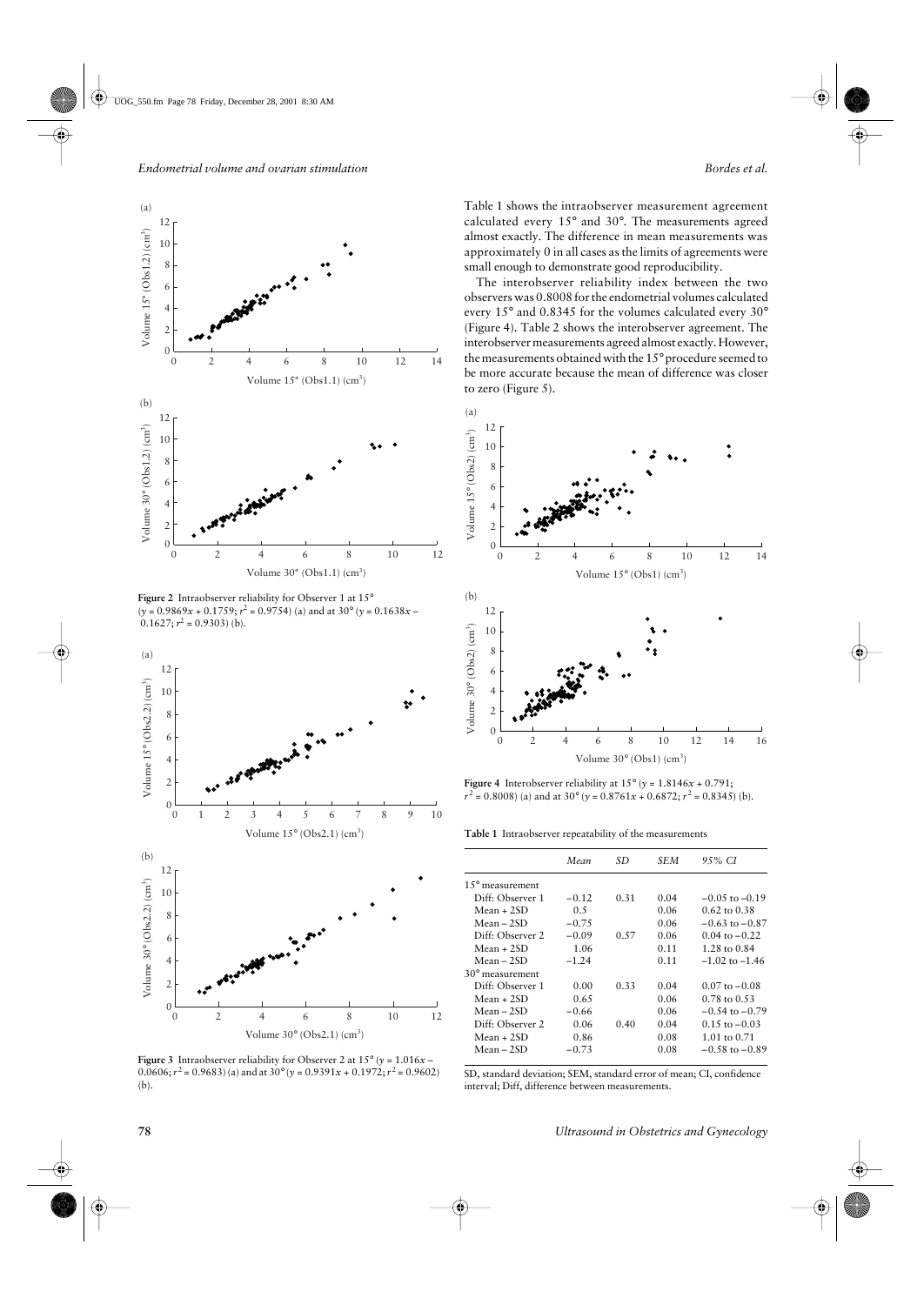

**Figure 2** Intraobserver reliability for Observer 1 at 15°  $(y = 0.9869x + 0.1759; r^2 = 0.9754)$  (a) and at 30° ( $y = 0.1638x 0.1627; r^2 = 0.9303$  (b).



**Figure 3** Intraobserver reliability for Observer 2 at  $15^{\circ}$  (*y* =  $1.016x$  – 0.0606;  $r^2 = 0.9683$ ) (a) and at  $30^\circ$  ( $y = 0.9391x + 0.1972$ ;  $r^2 = 0.9602$ ) (b).

Table 1 shows the intraobserver measurement agreement calculated every 15° and 30°. The measurements agreed almost exactly. The difference in mean measurements was approximately 0 in all cases as the limits of agreements were small enough to demonstrate good reproducibility.

The interobserver reliability index between the two observers was 0.8008 for the endometrial volumes calculated every 15° and 0.8345 for the volumes calculated every 30° (Figure 4). Table 2 shows the interobserver agreement. The interobserver measurements agreed almost exactly. However, the measurements obtained with the 15° procedure seemed to be more accurate because the mean of difference was closer to zero (Figure 5).



**Figure 4** Interobserver reliability at  $15^{\circ}$  ( $y = 1.8146x + 0.791$ ;  $r^2 = 0.8008$ ) (a) and at 30° (*y* =  $0.8761x + 0.6872$ ;  $r^2 = 0.8345$ ) (b).

**Table 1** Intraobserver repeatability of the measurements

|                           | Mean    | SD   | SEM  | 9.5% CI                  |
|---------------------------|---------|------|------|--------------------------|
| $1.5^{\circ}$ measurement |         |      |      |                          |
| Diff: Observer 1          | $-0.12$ | 0.31 | 0.04 | $-0.05$ to $-0.19$       |
| $Mean + 2SD$              | 0.5     |      | 0.06 | $0.62 \text{ to } 0.38$  |
| $Mean - 2SD$              | $-0.75$ |      | 0.06 | $-0.63$ to $-0.87$       |
| Diff: Observer 2          | $-0.09$ | 0.57 | 0.06 | $0.04 \text{ to } -0.22$ |
| Mean + 2SD                | 1.06    |      | 0.11 | 1.28 to 0.84             |
| Mean – 2SD                | $-1.24$ |      | 0.11 | $-1.02$ to $-1.46$       |
| $30^{\circ}$ measurement  |         |      |      |                          |
| Diff: Observer 1          | 0.00    | 0.33 | 0.04 | $0.07$ to $-0.08$        |
| Mean + 2SD                | 0.65    |      | 0.06 | $0.78$ to $0.53$         |
| Mean – 2SD                | $-0.66$ |      | 0.06 | $-0.54$ to $-0.79$       |
| Diff: Observer 2          | 0.06    | 0.40 | 0.04 | $0.15$ to $-0.03$        |
| $Mean + 2SD$              | 0.86    |      | 0.08 | 1.01 to $0.71$           |
| Mean – 2SD                | $-0.73$ |      | 0.08 | $-0.58$ to $-0.89$       |

SD, standard deviation; SEM, standard error of mean; CI, confidence interval; Diff, difference between measurements.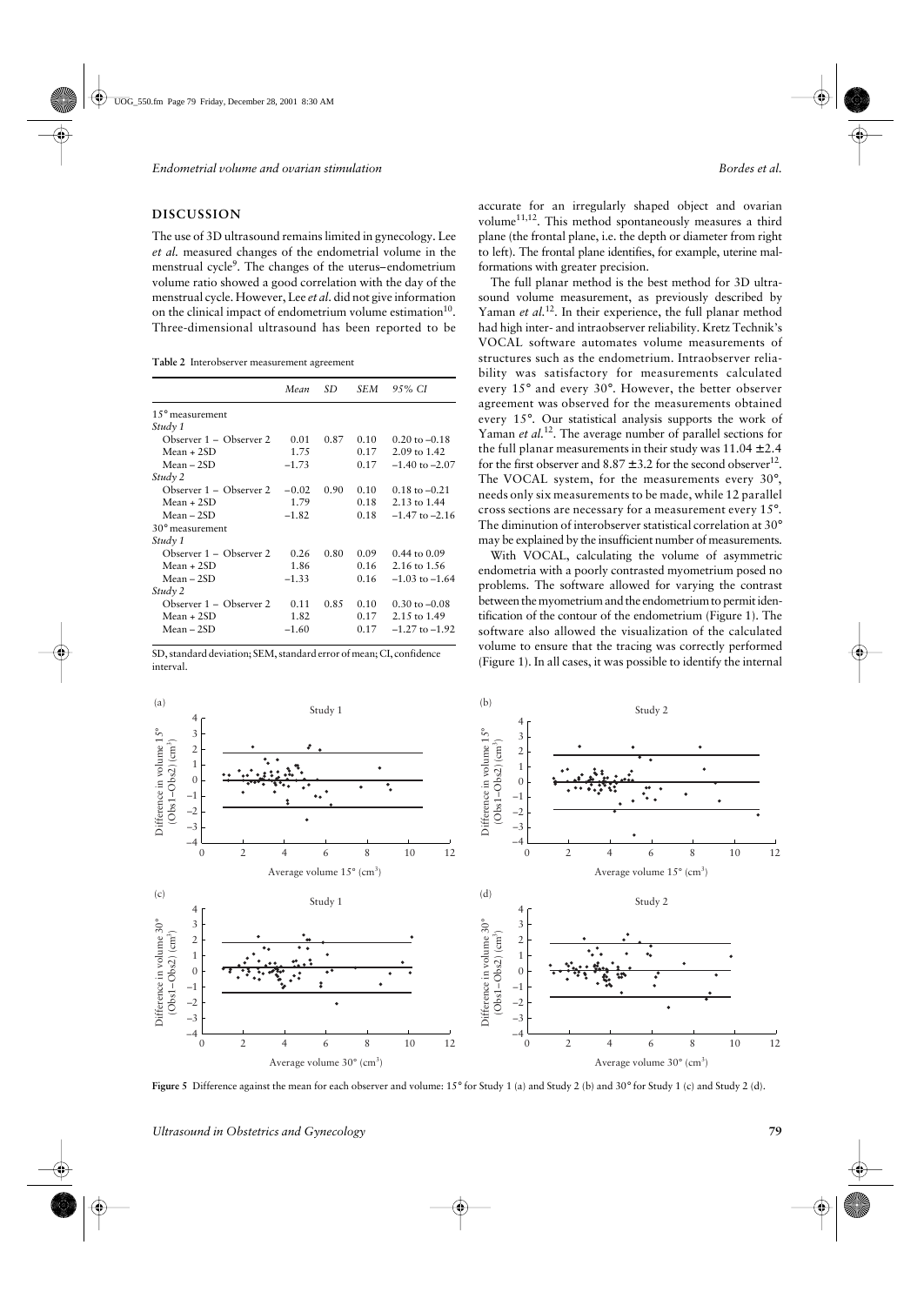## **DISCUSSION**

The use of 3D ultrasound remains limited in gynecology. Lee *et al.* measured changes of the endometrial volume in the menstrual cycle<sup>9</sup>. The changes of the uterus–endometrium volume ratio showed a good correlation with the day of the menstrual cycle. However, Lee *et al.* did not give information on the clinical impact of endometrium volume estimation $10$ . Three-dimensional ultrasound has been reported to be

**Table 2** Interobserver measurement agreement

|                          | Mean    | SD   | SEM  | 95% CI                   |
|--------------------------|---------|------|------|--------------------------|
| $15^{\circ}$ measurement |         |      |      |                          |
| Study 1                  |         |      |      |                          |
| Observer 1 – Observer 2  | 0.01    | 0.87 | 0.10 | $0.20 \text{ to } -0.18$ |
| $Mean + 2SD$             | 1.75    |      | 0.17 | 2.09 to 1.42             |
| $Mean - 2SD$             | $-1.73$ |      | 0.17 | $-1.40$ to $-2.07$       |
| Study 2                  |         |      |      |                          |
| Observer 1 – Observer 2  | $-0.02$ | 0.90 | 0.10 | $0.18$ to $-0.21$        |
| $Mean + 2SD$             | 1.79    |      | 0.18 | 2.13 to 1.44             |
| Mean – 2SD               | $-1.82$ |      | 0.18 | $-1.47$ to $-2.16$       |
| $30^{\circ}$ measurement |         |      |      |                          |
| Study 1                  |         |      |      |                          |
| Observer 1 – Observer 2  | 0.26    | 0.80 | 0.09 | $0.44$ to $0.09$         |
| $Mean + 2SD$             | 1.86    |      | 0.16 | 2.16 to 1.56             |
| $Mean - 2SD$             | $-1.33$ |      | 0.16 | $-1.03$ to $-1.64$       |
| Study 2                  |         |      |      |                          |
| Observer 1 – Observer 2  | 0.11    | 0.85 | 0.10 | $0.30$ to $-0.08$        |
| $Mean + 2SD$             | 1.82    |      | 0.17 | 2.15 to 1.49             |
| $Mean - 2SD$             | $-1.60$ |      | 0.17 | $-1.27$ to $-1.92$       |

SD, standard deviation; SEM, standard error of mean; CI, confidence interval.

accurate for an irregularly shaped object and ovarian volume<sup>11,12</sup>. This method spontaneously measures a third plane (the frontal plane, i.e. the depth or diameter from right to left). The frontal plane identifies, for example, uterine malformations with greater precision.

The full planar method is the best method for 3D ultrasound volume measurement, as previously described by Yaman *et al.*<sup>12</sup>. In their experience, the full planar method had high inter- and intraobserver reliability. Kretz Technik's VOCAL software automates volume measurements of structures such as the endometrium. Intraobserver reliability was satisfactory for measurements calculated every 15° and every 30°. However, the better observer agreement was observed for the measurements obtained every 15°. Our statistical analysis supports the work of Yaman *et al.*<sup>12</sup>. The average number of parallel sections for the full planar measurements in their study was  $11.04 \pm 2.4$ for the first observer and  $8.87 \pm 3.2$  for the second observer<sup>12</sup>. The VOCAL system, for the measurements every 30°, needs only six measurements to be made, while 12 parallel cross sections are necessary for a measurement every 15°. The diminution of interobserver statistical correlation at 30° may be explained by the insufficient number of measurements.

With VOCAL, calculating the volume of asymmetric endometria with a poorly contrasted myometrium posed no problems. The software allowed for varying the contrast between the myometrium and the endometrium to permit identification of the contour of the endometrium (Figure 1). The software also allowed the visualization of the calculated volume to ensure that the tracing was correctly performed (Figure 1). In all cases, it was possible to identify the internal



**Figure 5** Difference against the mean for each observer and volume: 15° for Study 1 (a) and Study 2 (b) and 30° for Study 1 (c) and Study 2 (d).